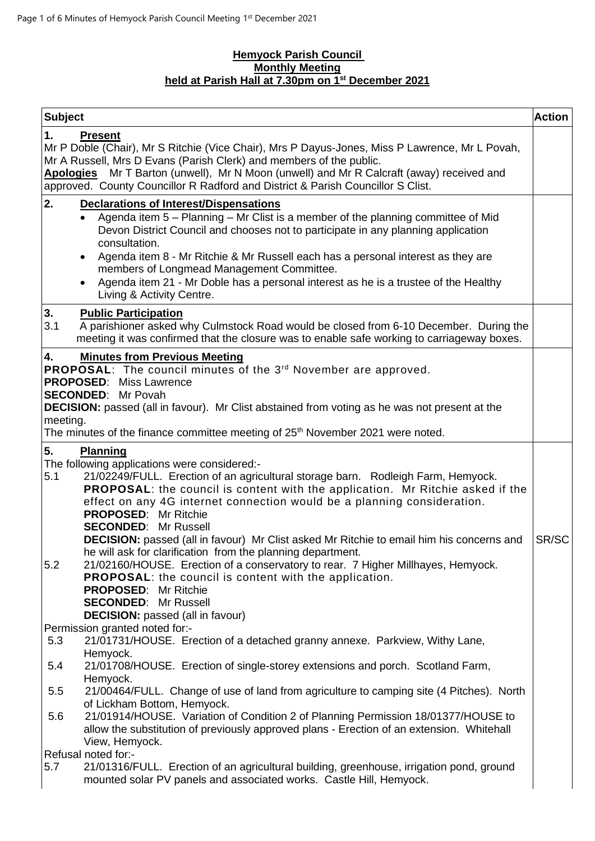### **Hemyock Parish Council Monthly Meeting held at Parish Hall at 7.30pm on 1 st December 2021**

| <b>Subject</b>                                                                                                                                                                                                                                                                                   |                                                                                                                                                                                                                                                                                                                                                                                                                                                                                                                                                                                                                                                                                                                                                                                                                | <b>Action</b> |
|--------------------------------------------------------------------------------------------------------------------------------------------------------------------------------------------------------------------------------------------------------------------------------------------------|----------------------------------------------------------------------------------------------------------------------------------------------------------------------------------------------------------------------------------------------------------------------------------------------------------------------------------------------------------------------------------------------------------------------------------------------------------------------------------------------------------------------------------------------------------------------------------------------------------------------------------------------------------------------------------------------------------------------------------------------------------------------------------------------------------------|---------------|
| 1.                                                                                                                                                                                                                                                                                               | <b>Present</b><br>Mr P Doble (Chair), Mr S Ritchie (Vice Chair), Mrs P Dayus-Jones, Miss P Lawrence, Mr L Povah,<br>Mr A Russell, Mrs D Evans (Parish Clerk) and members of the public.<br>Apologies Mr T Barton (unwell), Mr N Moon (unwell) and Mr R Calcraft (away) received and<br>approved. County Councillor R Radford and District & Parish Councillor S Clist.                                                                                                                                                                                                                                                                                                                                                                                                                                         |               |
| 2.<br>3.                                                                                                                                                                                                                                                                                         | <b>Declarations of Interest/Dispensations</b><br>Agenda item 5 - Planning - Mr Clist is a member of the planning committee of Mid<br>Devon District Council and chooses not to participate in any planning application<br>consultation.<br>Agenda item 8 - Mr Ritchie & Mr Russell each has a personal interest as they are<br>$\bullet$<br>members of Longmead Management Committee.<br>Agenda item 21 - Mr Doble has a personal interest as he is a trustee of the Healthy<br>Living & Activity Centre.<br><b>Public Participation</b>                                                                                                                                                                                                                                                                       |               |
| 3.1                                                                                                                                                                                                                                                                                              | A parishioner asked why Culmstock Road would be closed from 6-10 December. During the<br>meeting it was confirmed that the closure was to enable safe working to carriageway boxes.                                                                                                                                                                                                                                                                                                                                                                                                                                                                                                                                                                                                                            |               |
| <b>Minutes from Previous Meeting</b><br>4.<br>PROPOSAL: The council minutes of the 3rd November are approved.<br><b>PROPOSED:</b> Miss Lawrence<br><b>SECONDED:</b> Mr Povah<br><b>DECISION:</b> passed (all in favour). Mr Clist abstained from voting as he was not present at the<br>meeting. |                                                                                                                                                                                                                                                                                                                                                                                                                                                                                                                                                                                                                                                                                                                                                                                                                |               |
|                                                                                                                                                                                                                                                                                                  | The minutes of the finance committee meeting of 25 <sup>th</sup> November 2021 were noted.                                                                                                                                                                                                                                                                                                                                                                                                                                                                                                                                                                                                                                                                                                                     |               |
| 5.<br>5.1<br>5.2                                                                                                                                                                                                                                                                                 | Planning<br>The following applications were considered:-<br>21/02249/FULL. Erection of an agricultural storage barn. Rodleigh Farm, Hemyock.<br><b>PROPOSAL:</b> the council is content with the application. Mr Ritchie asked if the<br>effect on any 4G internet connection would be a planning consideration.<br><b>PROPOSED:</b> Mr Ritchie<br><b>SECONDED: Mr Russell</b><br><b>DECISION:</b> passed (all in favour) Mr Clist asked Mr Ritchie to email him his concerns and<br>he will ask for clarification from the planning department.<br>21/02160/HOUSE. Erection of a conservatory to rear. 7 Higher Millhayes, Hemyock.<br><b>PROPOSAL:</b> the council is content with the application.<br><b>PROPOSED: Mr Ritchie</b><br><b>SECONDED: Mr Russell</b><br><b>DECISION:</b> passed (all in favour) | SR/SC         |
| 5.3                                                                                                                                                                                                                                                                                              | Permission granted noted for:-<br>21/01731/HOUSE. Erection of a detached granny annexe. Parkview, Withy Lane,                                                                                                                                                                                                                                                                                                                                                                                                                                                                                                                                                                                                                                                                                                  |               |
| 5.4                                                                                                                                                                                                                                                                                              | Hemyock.<br>21/01708/HOUSE. Erection of single-storey extensions and porch. Scotland Farm,<br>Hemyock.                                                                                                                                                                                                                                                                                                                                                                                                                                                                                                                                                                                                                                                                                                         |               |
| 5.5                                                                                                                                                                                                                                                                                              | 21/00464/FULL. Change of use of land from agriculture to camping site (4 Pitches). North                                                                                                                                                                                                                                                                                                                                                                                                                                                                                                                                                                                                                                                                                                                       |               |
| 5.6                                                                                                                                                                                                                                                                                              | of Lickham Bottom, Hemyock.<br>21/01914/HOUSE. Variation of Condition 2 of Planning Permission 18/01377/HOUSE to<br>allow the substitution of previously approved plans - Erection of an extension. Whitehall<br>View, Hemyock.                                                                                                                                                                                                                                                                                                                                                                                                                                                                                                                                                                                |               |
|                                                                                                                                                                                                                                                                                                  | Refusal noted for:-                                                                                                                                                                                                                                                                                                                                                                                                                                                                                                                                                                                                                                                                                                                                                                                            |               |
| 5.7                                                                                                                                                                                                                                                                                              | 21/01316/FULL. Erection of an agricultural building, greenhouse, irrigation pond, ground<br>mounted solar PV panels and associated works. Castle Hill, Hemyock.                                                                                                                                                                                                                                                                                                                                                                                                                                                                                                                                                                                                                                                |               |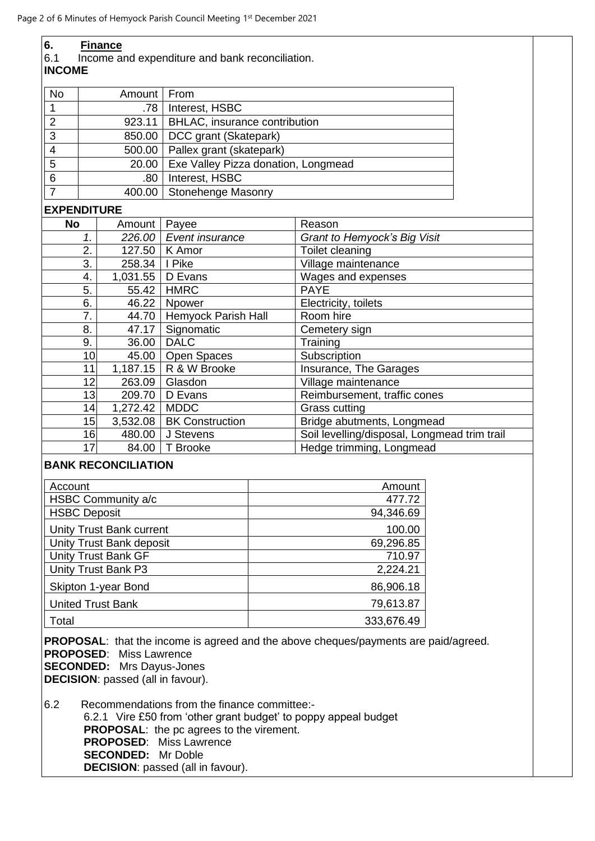| 6.<br><b>Finance</b><br>6.1<br>Income and expenditure and bank reconciliation.<br><b>INCOME</b>                                                                                                                                                                                      |                                          |                            |                                     |                               |                                              |  |  |
|--------------------------------------------------------------------------------------------------------------------------------------------------------------------------------------------------------------------------------------------------------------------------------------|------------------------------------------|----------------------------|-------------------------------------|-------------------------------|----------------------------------------------|--|--|
| No                                                                                                                                                                                                                                                                                   | Amount   From                            |                            |                                     |                               |                                              |  |  |
| 1                                                                                                                                                                                                                                                                                    |                                          | .78                        | Interest, HSBC                      |                               |                                              |  |  |
| $\overline{2}$                                                                                                                                                                                                                                                                       |                                          | 923.11                     |                                     | BHLAC, insurance contribution |                                              |  |  |
| 3                                                                                                                                                                                                                                                                                    |                                          | 850.00                     | DCC grant (Skatepark)               |                               |                                              |  |  |
|                                                                                                                                                                                                                                                                                      |                                          |                            | Pallex grant (skatepark)            |                               |                                              |  |  |
| 4<br>$\overline{5}$                                                                                                                                                                                                                                                                  |                                          | 500.00                     |                                     |                               |                                              |  |  |
|                                                                                                                                                                                                                                                                                      |                                          | 20.00                      | Exe Valley Pizza donation, Longmead |                               |                                              |  |  |
| 6<br>$\overline{7}$                                                                                                                                                                                                                                                                  |                                          | .80                        | Interest, HSBC                      |                               |                                              |  |  |
|                                                                                                                                                                                                                                                                                      |                                          | 400.00                     | <b>Stonehenge Masonry</b>           |                               |                                              |  |  |
| <b>EXPENDITURE</b>                                                                                                                                                                                                                                                                   |                                          |                            |                                     |                               |                                              |  |  |
| No                                                                                                                                                                                                                                                                                   |                                          | Amount   Payee             |                                     |                               | Reason                                       |  |  |
|                                                                                                                                                                                                                                                                                      | 1.                                       |                            | 226.00 Event insurance              |                               | Grant to Hemyock's Big Visit                 |  |  |
|                                                                                                                                                                                                                                                                                      | 2.                                       |                            | 127.50   K Amor                     |                               | Toilet cleaning                              |  |  |
|                                                                                                                                                                                                                                                                                      | 3.                                       | 258.34   I Pike            |                                     |                               | Village maintenance                          |  |  |
|                                                                                                                                                                                                                                                                                      | 4.                                       | 1,031.55   D Evans         |                                     |                               | Wages and expenses                           |  |  |
|                                                                                                                                                                                                                                                                                      | 5.                                       | 55.42                      | <b>HMRC</b>                         |                               | <b>PAYE</b>                                  |  |  |
|                                                                                                                                                                                                                                                                                      | 6.<br>$\overline{7}$ .                   |                            | 46.22   Npower                      |                               | Electricity, toilets<br>Room hire            |  |  |
|                                                                                                                                                                                                                                                                                      |                                          | 44.70<br>47.17             | Hemyock Parish Hall                 |                               | Cemetery sign                                |  |  |
|                                                                                                                                                                                                                                                                                      | Signomatic<br>8.<br><b>DALC</b><br>36.00 |                            |                                     | Training                      |                                              |  |  |
|                                                                                                                                                                                                                                                                                      | 10 <sub>1</sub>                          | 9.<br>45.00   Open Spaces  |                                     |                               | Subscription                                 |  |  |
|                                                                                                                                                                                                                                                                                      | 11                                       |                            |                                     |                               | Insurance, The Garages                       |  |  |
|                                                                                                                                                                                                                                                                                      | 12                                       | 263.09                     | 1,187.15   R & W Brooke<br>Glasdon  |                               | Village maintenance                          |  |  |
|                                                                                                                                                                                                                                                                                      | 13                                       | 209.70<br>D Evans          |                                     |                               | Reimbursement, traffic cones                 |  |  |
|                                                                                                                                                                                                                                                                                      | 14<br>1,272.42<br><b>MDDC</b>            |                            |                                     | <b>Grass cutting</b>          |                                              |  |  |
|                                                                                                                                                                                                                                                                                      | 15                                       | 3,532.08                   | <b>BK Construction</b>              |                               | Bridge abutments, Longmead                   |  |  |
|                                                                                                                                                                                                                                                                                      | 16                                       | 480.00                     | J Stevens                           |                               | Soil levelling/disposal, Longmead trim trail |  |  |
|                                                                                                                                                                                                                                                                                      | 17                                       | 84.00                      | T Brooke                            |                               | Hedge trimming, Longmead                     |  |  |
|                                                                                                                                                                                                                                                                                      |                                          | <b>BANK RECONCILIATION</b> |                                     |                               |                                              |  |  |
| Account                                                                                                                                                                                                                                                                              |                                          |                            |                                     |                               | Amount                                       |  |  |
|                                                                                                                                                                                                                                                                                      |                                          | HSBC Community a/c         |                                     |                               | 477.72                                       |  |  |
| <b>HSBC Deposit</b>                                                                                                                                                                                                                                                                  |                                          |                            |                                     |                               | 94,346.69                                    |  |  |
|                                                                                                                                                                                                                                                                                      |                                          | Unity Trust Bank current   |                                     |                               | 100.00                                       |  |  |
|                                                                                                                                                                                                                                                                                      |                                          | Unity Trust Bank deposit   |                                     |                               | 69,296.85                                    |  |  |
|                                                                                                                                                                                                                                                                                      |                                          | <b>Unity Trust Bank GF</b> |                                     |                               | 710.97                                       |  |  |
| Unity Trust Bank P3                                                                                                                                                                                                                                                                  |                                          |                            |                                     |                               | 2,224.21                                     |  |  |
| Skipton 1-year Bond                                                                                                                                                                                                                                                                  |                                          |                            |                                     |                               | 86,906.18                                    |  |  |
| <b>United Trust Bank</b>                                                                                                                                                                                                                                                             |                                          |                            |                                     |                               | 79,613.87                                    |  |  |
| Total                                                                                                                                                                                                                                                                                |                                          |                            |                                     |                               | 333,676.49                                   |  |  |
| <b>PROPOSAL:</b> that the income is agreed and the above cheques/payments are paid/agreed.<br><b>PROPOSED: Miss Lawrence</b><br><b>SECONDED:</b> Mrs Dayus-Jones<br><b>DECISION:</b> passed (all in favour).                                                                         |                                          |                            |                                     |                               |                                              |  |  |
| 6.2<br>Recommendations from the finance committee:-<br>6.2.1 Vire £50 from 'other grant budget' to poppy appeal budget<br><b>PROPOSAL:</b> the pc agrees to the virement.<br><b>PROPOSED:</b> Miss Lawrence<br><b>SECONDED:</b> Mr Doble<br><b>DECISION:</b> passed (all in favour). |                                          |                            |                                     |                               |                                              |  |  |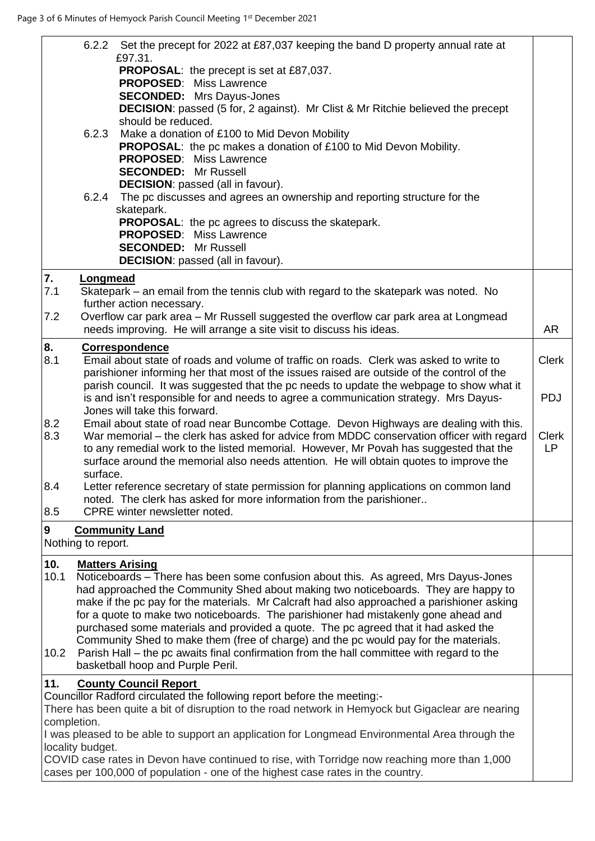|                     |                    | 6.2.2 Set the precept for 2022 at £87,037 keeping the band D property annual rate at<br>£97.31.<br><b>PROPOSAL:</b> the precept is set at £87,037.<br><b>PROPOSED: Miss Lawrence</b><br><b>SECONDED:</b> Mrs Dayus-Jones                                                                                                                                                                                                                                                                                                                                                                                                                                                                                 |                                         |
|---------------------|--------------------|----------------------------------------------------------------------------------------------------------------------------------------------------------------------------------------------------------------------------------------------------------------------------------------------------------------------------------------------------------------------------------------------------------------------------------------------------------------------------------------------------------------------------------------------------------------------------------------------------------------------------------------------------------------------------------------------------------|-----------------------------------------|
|                     | 6.2.3              | <b>DECISION:</b> passed (5 for, 2 against). Mr Clist & Mr Ritchie believed the precept<br>should be reduced.<br>Make a donation of £100 to Mid Devon Mobility<br>PROPOSAL: the pc makes a donation of £100 to Mid Devon Mobility.<br><b>PROPOSED:</b> Miss Lawrence                                                                                                                                                                                                                                                                                                                                                                                                                                      |                                         |
|                     | 6.2.4              | <b>SECONDED:</b> Mr Russell<br><b>DECISION:</b> passed (all in favour).<br>The pc discusses and agrees an ownership and reporting structure for the<br>skatepark.                                                                                                                                                                                                                                                                                                                                                                                                                                                                                                                                        |                                         |
|                     |                    | <b>PROPOSAL:</b> the pc agrees to discuss the skatepark.<br><b>PROPOSED:</b> Miss Lawrence<br><b>SECONDED:</b> Mr Russell<br><b>DECISION:</b> passed (all in favour).                                                                                                                                                                                                                                                                                                                                                                                                                                                                                                                                    |                                         |
| 7.<br>7.1           | <b>Longmead</b>    | Skatepark – an email from the tennis club with regard to the skatepark was noted. No<br>further action necessary.                                                                                                                                                                                                                                                                                                                                                                                                                                                                                                                                                                                        |                                         |
| 7.2                 |                    | Overflow car park area - Mr Russell suggested the overflow car park area at Longmead<br>needs improving. He will arrange a site visit to discuss his ideas.                                                                                                                                                                                                                                                                                                                                                                                                                                                                                                                                              | <b>AR</b>                               |
| 8.<br>8.1           |                    | <b>Correspondence</b><br>Email about state of roads and volume of traffic on roads. Clerk was asked to write to<br>parishioner informing her that most of the issues raised are outside of the control of the<br>parish council. It was suggested that the pc needs to update the webpage to show what it                                                                                                                                                                                                                                                                                                                                                                                                | <b>Clerk</b>                            |
| 8.2<br>8.3          |                    | is and isn't responsible for and needs to agree a communication strategy. Mrs Dayus-<br>Jones will take this forward.<br>Email about state of road near Buncombe Cottage. Devon Highways are dealing with this.<br>War memorial - the clerk has asked for advice from MDDC conservation officer with regard<br>to any remedial work to the listed memorial. However, Mr Povah has suggested that the<br>surface around the memorial also needs attention. He will obtain quotes to improve the                                                                                                                                                                                                           | <b>PDJ</b><br><b>Clerk</b><br><b>LP</b> |
| 8.4<br>8.5          | surface.           | Letter reference secretary of state permission for planning applications on common land<br>noted. The clerk has asked for more information from the parishioner<br>CPRE winter newsletter noted.                                                                                                                                                                                                                                                                                                                                                                                                                                                                                                         |                                         |
| 9                   | Nothing to report. | <b>Community Land</b>                                                                                                                                                                                                                                                                                                                                                                                                                                                                                                                                                                                                                                                                                    |                                         |
| 10.<br>10.1<br>10.2 |                    | <b>Matters Arising</b><br>Noticeboards – There has been some confusion about this. As agreed, Mrs Dayus-Jones<br>had approached the Community Shed about making two noticeboards. They are happy to<br>make if the pc pay for the materials. Mr Calcraft had also approached a parishioner asking<br>for a quote to make two noticeboards. The parishioner had mistakenly gone ahead and<br>purchased some materials and provided a quote. The pc agreed that it had asked the<br>Community Shed to make them (free of charge) and the pc would pay for the materials.<br>Parish Hall – the pc awaits final confirmation from the hall committee with regard to the<br>basketball hoop and Purple Peril. |                                         |
| 11.                 | completion.        | <b>County Council Report</b><br>Councillor Radford circulated the following report before the meeting:-<br>There has been quite a bit of disruption to the road network in Hemyock but Gigaclear are nearing                                                                                                                                                                                                                                                                                                                                                                                                                                                                                             |                                         |
|                     | locality budget.   | I was pleased to be able to support an application for Longmead Environmental Area through the<br>COVID case rates in Devon have continued to rise, with Torridge now reaching more than 1,000<br>cases per 100,000 of population - one of the highest case rates in the country.                                                                                                                                                                                                                                                                                                                                                                                                                        |                                         |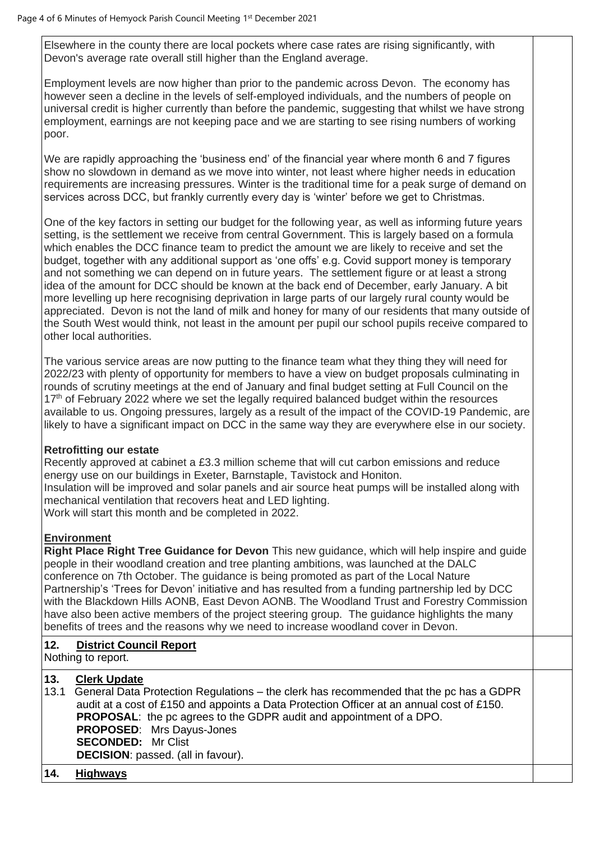Elsewhere in the county there are local pockets where case rates are rising significantly, with Devon's average rate overall still higher than the England average.

Employment levels are now higher than prior to the pandemic across Devon. The economy has however seen a decline in the levels of self-employed individuals, and the numbers of people on universal credit is higher currently than before the pandemic, suggesting that whilst we have strong employment, earnings are not keeping pace and we are starting to see rising numbers of working poor.

We are rapidly approaching the 'business end' of the financial year where month 6 and 7 figures show no slowdown in demand as we move into winter, not least where higher needs in education requirements are increasing pressures. Winter is the traditional time for a peak surge of demand on services across DCC, but frankly currently every day is 'winter' before we get to Christmas.

One of the key factors in setting our budget for the following year, as well as informing future years setting, is the settlement we receive from central Government. This is largely based on a formula which enables the DCC finance team to predict the amount we are likely to receive and set the budget, together with any additional support as 'one offs' e.g. Covid support money is temporary and not something we can depend on in future years. The settlement figure or at least a strong idea of the amount for DCC should be known at the back end of December, early January. A bit more levelling up here recognising deprivation in large parts of our largely rural county would be appreciated. Devon is not the land of milk and honey for many of our residents that many outside of the South West would think, not least in the amount per pupil our school pupils receive compared to other local authorities.

The various service areas are now putting to the finance team what they thing they will need for 2022/23 with plenty of opportunity for members to have a view on budget proposals culminating in rounds of scrutiny meetings at the end of January and final budget setting at Full Council on the 17<sup>th</sup> of February 2022 where we set the legally required balanced budget within the resources available to us. Ongoing pressures, largely as a result of the impact of the COVID-19 Pandemic, are likely to have a significant impact on DCC in the same way they are everywhere else in our society.

### **Retrofitting our estate**

Recently approved at cabinet a £3.3 million scheme that will cut carbon emissions and reduce energy use on our buildings in Exeter, Barnstaple, Tavistock and Honiton. Insulation will be improved and solar panels and air source heat pumps will be installed along with mechanical ventilation that recovers heat and LED lighting. Work will start this month and be completed in 2022.

### **Environment**

**Right Place Right Tree Guidance for Devon** This new guidance, which will help inspire and guide people in their woodland creation and tree planting ambitions, was launched at the DALC conference on 7th October. The guidance is being promoted as part of the Local Nature Partnership's 'Trees for Devon' initiative and has resulted from a funding partnership led by DCC with the Blackdown Hills AONB, East Devon AONB. The Woodland Trust and Forestry Commission have also been active members of the project steering group. The guidance highlights the many benefits of trees and the reasons why we need to increase woodland cover in Devon.

# **12. District Council Report**

Nothing to report.

## **13. Clerk Update**

13.1 General Data Protection Regulations – the clerk has recommended that the pc has a GDPR audit at a cost of £150 and appoints a Data Protection Officer at an annual cost of £150. **PROPOSAL**: the pc agrees to the GDPR audit and appointment of a DPO. **PROPOSED**: Mrs Dayus-Jones **SECONDED:** Mr Clist **DECISION**: passed. (all in favour).

### **14. Highways**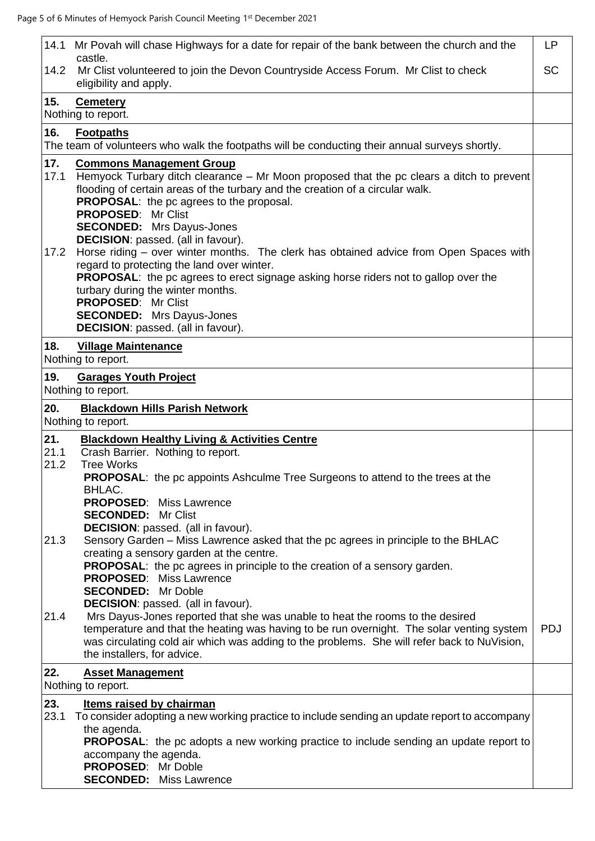| 14.1 Mr Povah will chase Highways for a date for repair of the bank between the church and the<br>castle.                                                                                                                                                                                                                                                                                                                                                                                                                                                                                                                                                                                                                                                                       | <b>LP</b>  |
|---------------------------------------------------------------------------------------------------------------------------------------------------------------------------------------------------------------------------------------------------------------------------------------------------------------------------------------------------------------------------------------------------------------------------------------------------------------------------------------------------------------------------------------------------------------------------------------------------------------------------------------------------------------------------------------------------------------------------------------------------------------------------------|------------|
| Mr Clist volunteered to join the Devon Countryside Access Forum. Mr Clist to check<br>14.2<br>eligibility and apply.                                                                                                                                                                                                                                                                                                                                                                                                                                                                                                                                                                                                                                                            | <b>SC</b>  |
| 15.<br><b>Cemetery</b><br>Nothing to report.                                                                                                                                                                                                                                                                                                                                                                                                                                                                                                                                                                                                                                                                                                                                    |            |
| 16.<br><b>Footpaths</b><br>The team of volunteers who walk the footpaths will be conducting their annual surveys shortly.                                                                                                                                                                                                                                                                                                                                                                                                                                                                                                                                                                                                                                                       |            |
| 17.<br><b>Commons Management Group</b><br>Hemyock Turbary ditch clearance – Mr Moon proposed that the pc clears a ditch to prevent<br>17.1<br>flooding of certain areas of the turbary and the creation of a circular walk.<br><b>PROPOSAL:</b> the pc agrees to the proposal.<br><b>PROPOSED: Mr Clist</b><br><b>SECONDED:</b> Mrs Dayus-Jones<br><b>DECISION:</b> passed. (all in favour).<br>Horse riding - over winter months. The clerk has obtained advice from Open Spaces with<br>17.2<br>regard to protecting the land over winter.<br>PROPOSAL: the pc agrees to erect signage asking horse riders not to gallop over the<br>turbary during the winter months.<br><b>PROPOSED: Mr Clist</b><br><b>SECONDED:</b> Mrs Dayus-Jones<br>DECISION: passed. (all in favour). |            |
| 18.<br><b>Village Maintenance</b><br>Nothing to report.                                                                                                                                                                                                                                                                                                                                                                                                                                                                                                                                                                                                                                                                                                                         |            |
| 19.<br><b>Garages Youth Project</b><br>Nothing to report.                                                                                                                                                                                                                                                                                                                                                                                                                                                                                                                                                                                                                                                                                                                       |            |
| 20.<br><b>Blackdown Hills Parish Network</b><br>Nothing to report.                                                                                                                                                                                                                                                                                                                                                                                                                                                                                                                                                                                                                                                                                                              |            |
| 21.<br><b>Blackdown Healthy Living &amp; Activities Centre</b><br>21.1<br>Crash Barrier. Nothing to report.<br>21.2<br><b>Tree Works</b><br><b>PROPOSAL:</b> the pc appoints Ashculme Tree Surgeons to attend to the trees at the<br>BHLAC.<br><b>PROPOSED:</b> Miss Lawrence<br><b>SECONDED:</b><br>Mr Clist<br><b>DECISION:</b> passed. (all in favour).                                                                                                                                                                                                                                                                                                                                                                                                                      |            |
| Sensory Garden - Miss Lawrence asked that the pc agrees in principle to the BHLAC<br>21.3<br>creating a sensory garden at the centre.<br>PROPOSAL: the pc agrees in principle to the creation of a sensory garden.<br><b>PROPOSED: Miss Lawrence</b><br><b>SECONDED:</b> Mr Doble<br><b>DECISION:</b> passed. (all in favour).<br>Mrs Dayus-Jones reported that she was unable to heat the rooms to the desired<br>21.4<br>temperature and that the heating was having to be run overnight. The solar venting system<br>was circulating cold air which was adding to the problems. She will refer back to NuVision,                                                                                                                                                             | <b>PDJ</b> |
| the installers, for advice.<br>22.<br><b>Asset Management</b><br>Nothing to report.                                                                                                                                                                                                                                                                                                                                                                                                                                                                                                                                                                                                                                                                                             |            |
| 23.<br>Items raised by chairman<br>23.1<br>To consider adopting a new working practice to include sending an update report to accompany<br>the agenda.<br><b>PROPOSAL:</b> the pc adopts a new working practice to include sending an update report to<br>accompany the agenda.<br>PROPOSED: Mr Doble<br><b>SECONDED:</b> Miss Lawrence                                                                                                                                                                                                                                                                                                                                                                                                                                         |            |